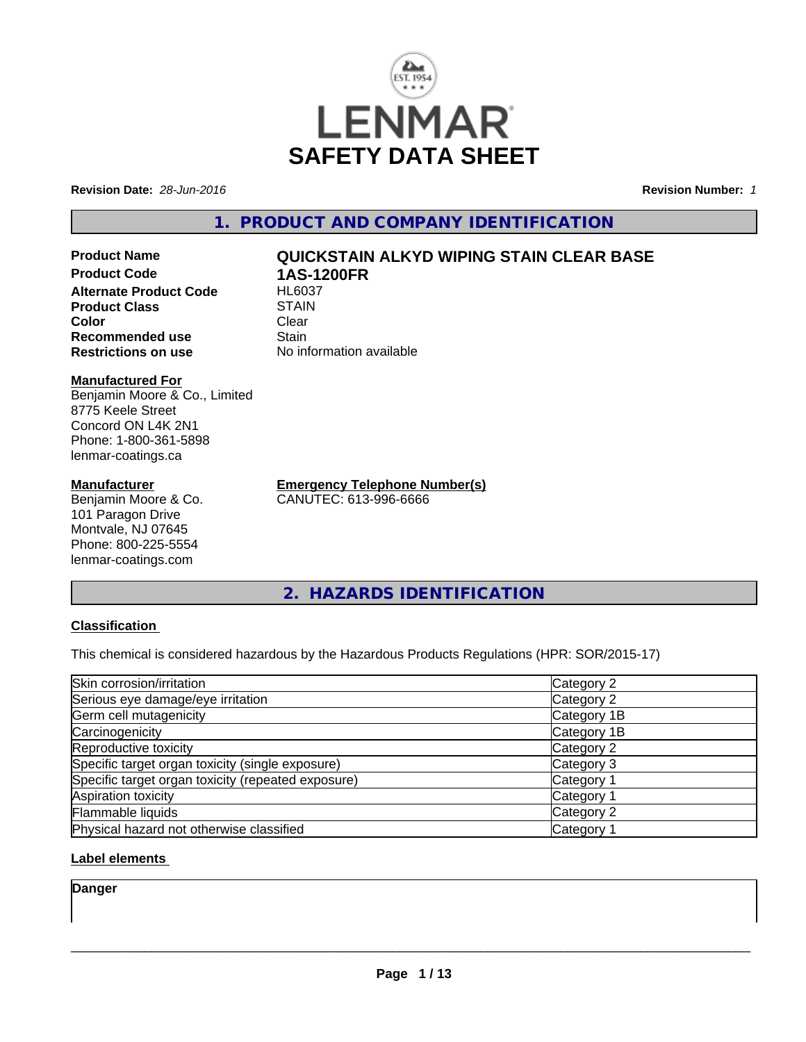

**Revision Date:** *28-Jun-2016* **Revision Number:** *1*

**1. PRODUCT AND COMPANY IDENTIFICATION**

**Product Name QUICKSTAIN ALKYD WIPING STAIN CLEAR BASE Product Code 1AS-1200FR Alternate Product Code Product Class STAIN STAIN**<br> **Color** Clear **Color** Clear Clear **Recommended use Stain** 

#### **Manufactured For**

Benjamin Moore & Co., Limited 8775 Keele Street Concord ON L4K 2N1 Phone: 1-800-361-5898 lenmar-coatings.ca

#### **Manufacturer**

Benjamin Moore & Co. 101 Paragon Drive Montvale, NJ 07645 Phone: 800-225-5554 lenmar-coatings.com

**Restrictions on use** No information available

**Emergency Telephone Number(s)** CANUTEC: 613-996-6666

**2. HAZARDS IDENTIFICATION**

#### **Classification**

This chemical is considered hazardous by the Hazardous Products Regulations (HPR: SOR/2015-17)

| Skin corrosion/irritation                          | Category 2            |
|----------------------------------------------------|-----------------------|
| Serious eye damage/eye irritation                  | Category 2            |
| Germ cell mutagenicity                             | Category 1B           |
| Carcinogenicity                                    | Category 1B           |
| Reproductive toxicity                              | Category 2            |
| Specific target organ toxicity (single exposure)   | Category 3            |
| Specific target organ toxicity (repeated exposure) | Category <sup>2</sup> |
| Aspiration toxicity                                | Category 1            |
| Flammable liquids                                  | Category 2            |
| Physical hazard not otherwise classified           | Category 1            |

#### **Label elements**

**Danger**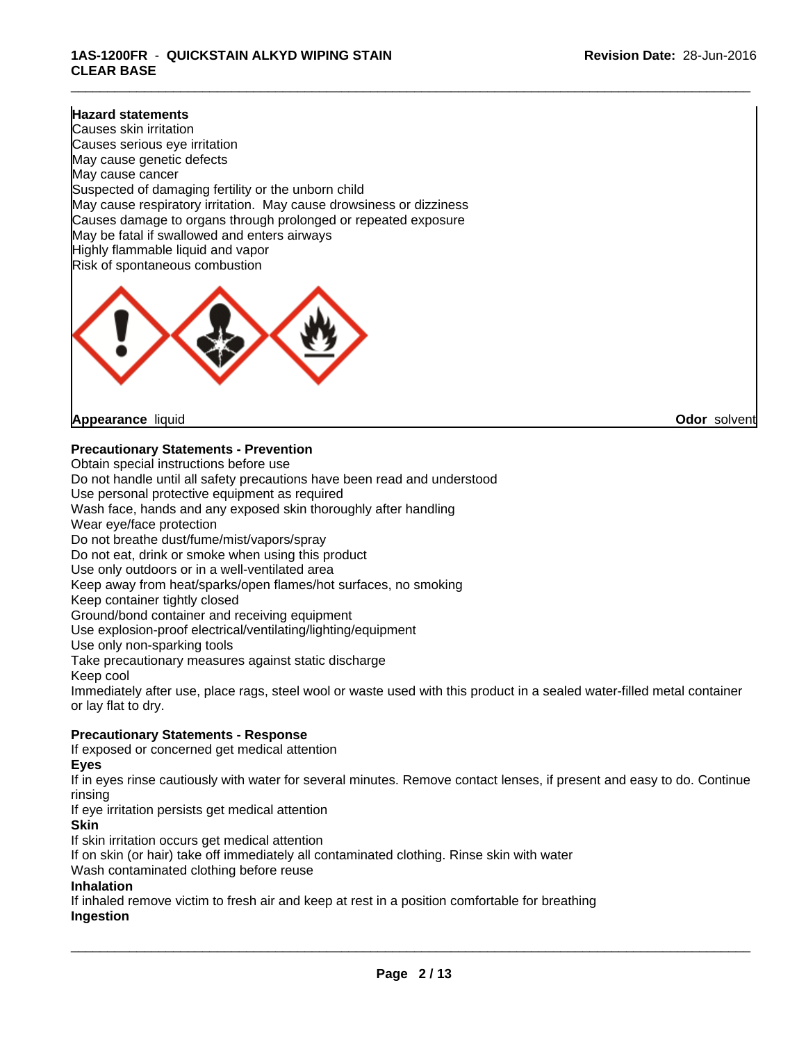#### **Hazard statements**

Causes skin irritation Causes serious eye irritation May cause genetic defects May cause cancer Suspected of damaging fertility or the unborn child May cause respiratory irritation. May cause drowsiness or dizziness Causes damage to organs through prolonged or repeated exposure May be fatal if swallowed and enters airways Highly flammable liquid and vapor Risk of spontaneous combustion



**Appearance** liquid **Odor** solvent

**Precautionary Statements - Prevention**

Obtain special instructions before use Do not handle until all safety precautions have been read and understood Use personal protective equipment as required Wash face, hands and any exposed skin thoroughly after handling Wear eye/face protection Do not breathe dust/fume/mist/vapors/spray Do not eat, drink or smoke when using this product Use only outdoors or in a well-ventilated area Keep away from heat/sparks/open flames/hot surfaces, no smoking Keep container tightly closed Ground/bond container and receiving equipment Use explosion-proof electrical/ventilating/lighting/equipment Use only non-sparking tools Take precautionary measures against static discharge Keep cool Immediately after use, place rags, steel wool or waste used with this product in a sealed water-filled metal container or lay flat to dry. **Precautionary Statements - Response** If exposed or concerned get medical attention

#### **Eyes**

If in eyes rinse cautiously with water for several minutes. Remove contact lenses, if present and easy to do. Continue rinsing

If eye irritation persists get medical attention

#### **Skin**

If skin irritation occurs get medical attention

If on skin (or hair) take off immediately all contaminated clothing. Rinse skin with water

Wash contaminated clothing before reuse

#### **Inhalation**

If inhaled remove victim to fresh air and keep at rest in a position comfortable for breathing **Ingestion**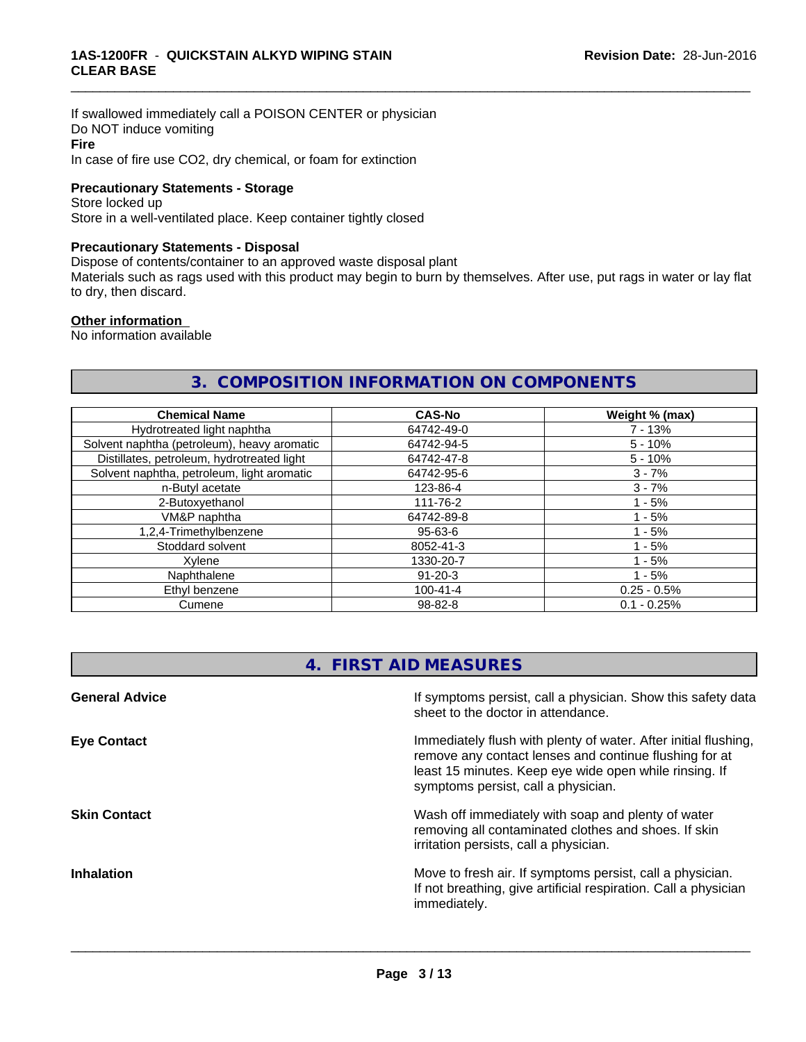If swallowed immediately call a POISON CENTER or physician Do NOT induce vomiting **Fire** In case of fire use CO2, dry chemical, or foam for extinction

#### **Precautionary Statements - Storage**

Store locked up Store in a well-ventilated place. Keep container tightly closed

#### **Precautionary Statements - Disposal**

Dispose of contents/container to an approved waste disposal plant

Materials such as rags used with this product may begin to burn by themselves. After use, put rags in water or lay flat to dry, then discard.

\_\_\_\_\_\_\_\_\_\_\_\_\_\_\_\_\_\_\_\_\_\_\_\_\_\_\_\_\_\_\_\_\_\_\_\_\_\_\_\_\_\_\_\_\_\_\_\_\_\_\_\_\_\_\_\_\_\_\_\_\_\_\_\_\_\_\_\_\_\_\_\_\_\_\_\_\_\_\_\_\_\_\_\_\_\_\_\_\_\_\_\_\_

#### **Other information**

No information available

### **3. COMPOSITION INFORMATION ON COMPONENTS**

| <b>Chemical Name</b>                        | <b>CAS-No</b>  | Weight % (max) |
|---------------------------------------------|----------------|----------------|
| Hydrotreated light naphtha                  | 64742-49-0     | $7 - 13%$      |
| Solvent naphtha (petroleum), heavy aromatic | 64742-94-5     | $5 - 10%$      |
| Distillates, petroleum, hydrotreated light  | 64742-47-8     | $5 - 10%$      |
| Solvent naphtha, petroleum, light aromatic  | 64742-95-6     | $3 - 7%$       |
| n-Butyl acetate                             | 123-86-4       | $3 - 7%$       |
| 2-Butoxyethanol                             | 111-76-2       | - 5%           |
| VM&P naphtha                                | 64742-89-8     | $1 - 5%$       |
| 1,2,4-Trimethylbenzene                      | $95 - 63 - 6$  | $1 - 5%$       |
| Stoddard solvent<br>8052-41-3               |                | - 5%           |
| Xvlene<br>1330-20-7                         |                | $1 - 5%$       |
| Naphthalene<br>$91 - 20 - 3$                |                | $1 - 5%$       |
| Ethyl benzene                               | $100 - 41 - 4$ | $0.25 - 0.5%$  |
| Cumene                                      | $98 - 82 - 8$  | $0.1 - 0.25%$  |

### **4. FIRST AID MEASURES**

| <b>General Advice</b> | If symptoms persist, call a physician. Show this safety data<br>sheet to the doctor in attendance.                                                                                                                         |
|-----------------------|----------------------------------------------------------------------------------------------------------------------------------------------------------------------------------------------------------------------------|
| <b>Eye Contact</b>    | Immediately flush with plenty of water. After initial flushing,<br>remove any contact lenses and continue flushing for at<br>least 15 minutes. Keep eye wide open while rinsing. If<br>symptoms persist, call a physician. |
| <b>Skin Contact</b>   | Wash off immediately with soap and plenty of water<br>removing all contaminated clothes and shoes. If skin<br>irritation persists, call a physician.                                                                       |
| <b>Inhalation</b>     | Move to fresh air. If symptoms persist, call a physician.<br>If not breathing, give artificial respiration. Call a physician<br>immediately.                                                                               |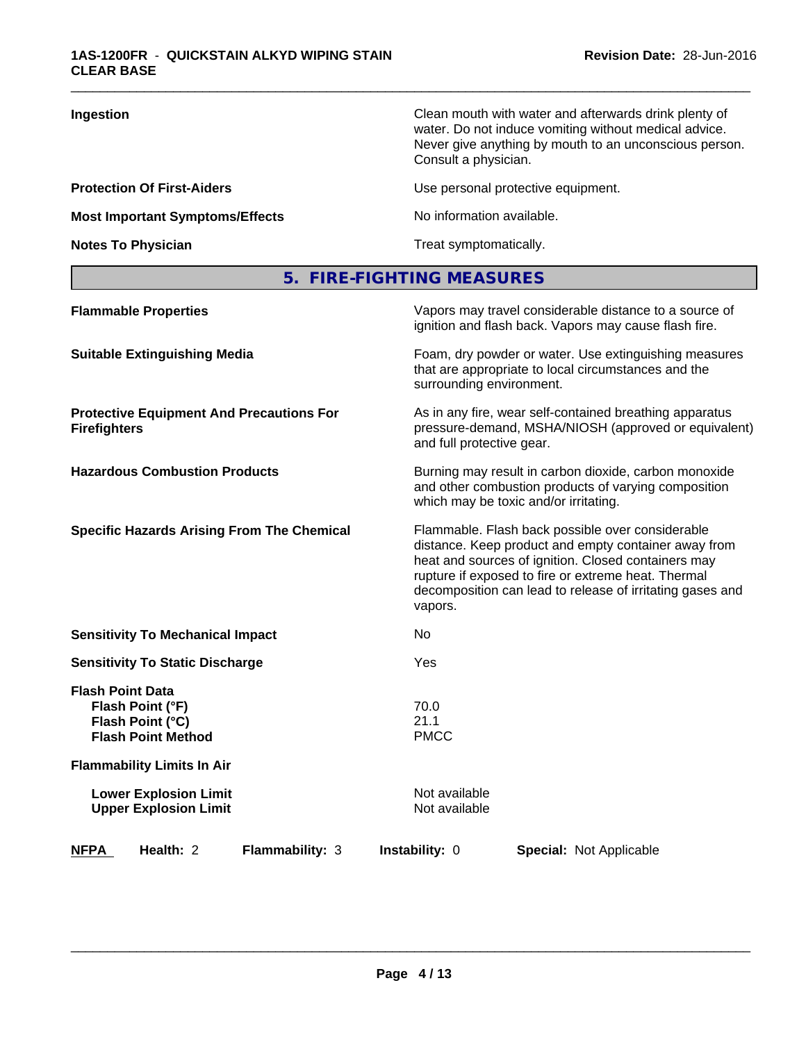| Ingestion                              | Clean mouth with water and afterwards drink plenty of<br>water. Do not induce vomiting without medical advice.<br>Never give anything by mouth to an unconscious person.<br>Consult a physician. |
|----------------------------------------|--------------------------------------------------------------------------------------------------------------------------------------------------------------------------------------------------|
| <b>Protection Of First-Aiders</b>      | Use personal protective equipment.                                                                                                                                                               |
| <b>Most Important Symptoms/Effects</b> | No information available.                                                                                                                                                                        |
| <b>Notes To Physician</b>              | Treat symptomatically.                                                                                                                                                                           |
|                                        |                                                                                                                                                                                                  |

## **5. FIRE-FIGHTING MEASURES**

| <b>Flammable Properties</b>                                                                  | Vapors may travel considerable distance to a source of<br>ignition and flash back. Vapors may cause flash fire.                                                                                                                                                                                |  |
|----------------------------------------------------------------------------------------------|------------------------------------------------------------------------------------------------------------------------------------------------------------------------------------------------------------------------------------------------------------------------------------------------|--|
| <b>Suitable Extinguishing Media</b>                                                          | Foam, dry powder or water. Use extinguishing measures<br>that are appropriate to local circumstances and the<br>surrounding environment.                                                                                                                                                       |  |
| <b>Protective Equipment And Precautions For</b><br><b>Firefighters</b>                       | As in any fire, wear self-contained breathing apparatus<br>pressure-demand, MSHA/NIOSH (approved or equivalent)<br>and full protective gear.                                                                                                                                                   |  |
| <b>Hazardous Combustion Products</b>                                                         | Burning may result in carbon dioxide, carbon monoxide<br>and other combustion products of varying composition<br>which may be toxic and/or irritating.                                                                                                                                         |  |
| <b>Specific Hazards Arising From The Chemical</b>                                            | Flammable. Flash back possible over considerable<br>distance. Keep product and empty container away from<br>heat and sources of ignition. Closed containers may<br>rupture if exposed to fire or extreme heat. Thermal<br>decomposition can lead to release of irritating gases and<br>vapors. |  |
| <b>Sensitivity To Mechanical Impact</b>                                                      | No                                                                                                                                                                                                                                                                                             |  |
| <b>Sensitivity To Static Discharge</b>                                                       | Yes                                                                                                                                                                                                                                                                                            |  |
| <b>Flash Point Data</b><br>Flash Point (°F)<br>Flash Point (°C)<br><b>Flash Point Method</b> | 70.0<br>21.1<br><b>PMCC</b>                                                                                                                                                                                                                                                                    |  |
| <b>Flammability Limits In Air</b>                                                            |                                                                                                                                                                                                                                                                                                |  |
| <b>Lower Explosion Limit</b><br><b>Upper Explosion Limit</b>                                 | Not available<br>Not available                                                                                                                                                                                                                                                                 |  |
| <b>NFPA</b><br>Health: 2<br>Flammability: 3                                                  | <b>Instability: 0</b><br><b>Special: Not Applicable</b>                                                                                                                                                                                                                                        |  |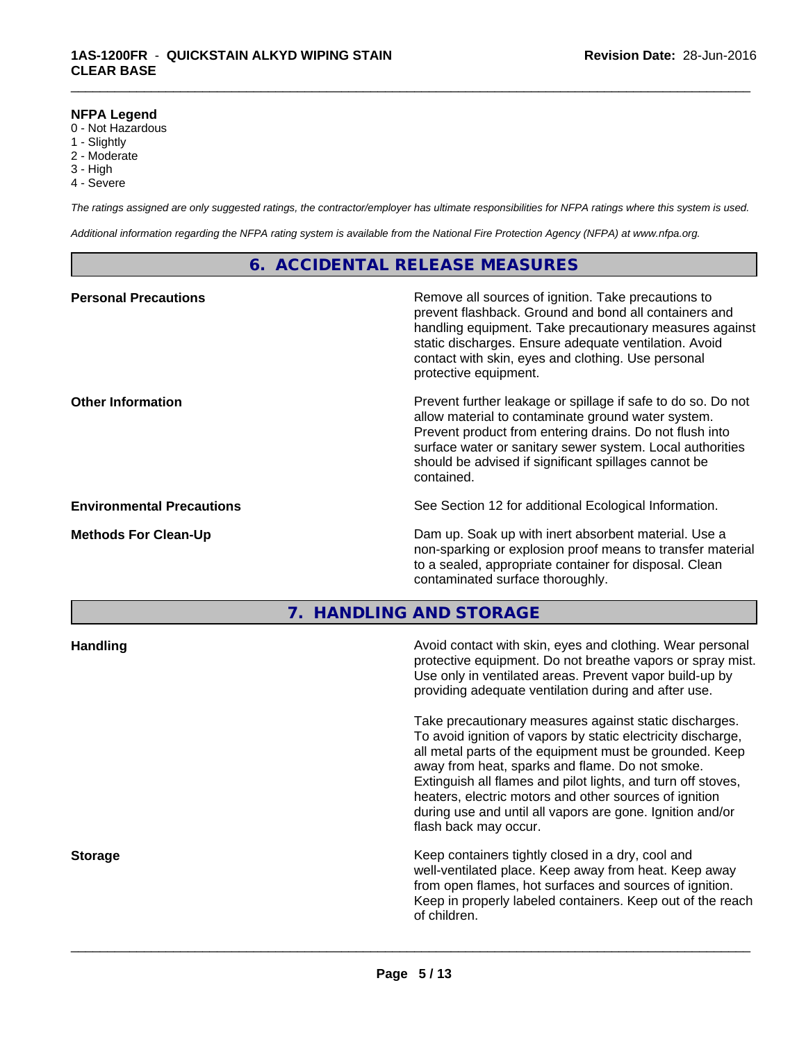#### **NFPA Legend**

- 0 Not Hazardous
- 1 Slightly
- 2 Moderate
- 3 High
- 4 Severe

*The ratings assigned are only suggested ratings, the contractor/employer has ultimate responsibilities for NFPA ratings where this system is used.*

\_\_\_\_\_\_\_\_\_\_\_\_\_\_\_\_\_\_\_\_\_\_\_\_\_\_\_\_\_\_\_\_\_\_\_\_\_\_\_\_\_\_\_\_\_\_\_\_\_\_\_\_\_\_\_\_\_\_\_\_\_\_\_\_\_\_\_\_\_\_\_\_\_\_\_\_\_\_\_\_\_\_\_\_\_\_\_\_\_\_\_\_\_

*Additional information regarding the NFPA rating system is available from the National Fire Protection Agency (NFPA) at www.nfpa.org.*

#### **6. ACCIDENTAL RELEASE MEASURES**

| <b>Personal Precautions</b>      | Remove all sources of ignition. Take precautions to<br>prevent flashback. Ground and bond all containers and<br>handling equipment. Take precautionary measures against<br>static discharges. Ensure adequate ventilation. Avoid<br>contact with skin, eyes and clothing. Use personal<br>protective equipment.  |
|----------------------------------|------------------------------------------------------------------------------------------------------------------------------------------------------------------------------------------------------------------------------------------------------------------------------------------------------------------|
| <b>Other Information</b>         | Prevent further leakage or spillage if safe to do so. Do not<br>allow material to contaminate ground water system.<br>Prevent product from entering drains. Do not flush into<br>surface water or sanitary sewer system. Local authorities<br>should be advised if significant spillages cannot be<br>contained. |
| <b>Environmental Precautions</b> | See Section 12 for additional Ecological Information.                                                                                                                                                                                                                                                            |
| <b>Methods For Clean-Up</b>      | Dam up. Soak up with inert absorbent material. Use a<br>non-sparking or explosion proof means to transfer material<br>to a sealed, appropriate container for disposal. Clean<br>contaminated surface thoroughly.                                                                                                 |

**7. HANDLING AND STORAGE**

| <b>Handling</b> | Avoid contact with skin, eyes and clothing. Wear personal<br>protective equipment. Do not breathe vapors or spray mist.<br>Use only in ventilated areas. Prevent vapor build-up by<br>providing adequate ventilation during and after use.                                                                                                                                                                                                           |
|-----------------|------------------------------------------------------------------------------------------------------------------------------------------------------------------------------------------------------------------------------------------------------------------------------------------------------------------------------------------------------------------------------------------------------------------------------------------------------|
|                 | Take precautionary measures against static discharges.<br>To avoid ignition of vapors by static electricity discharge,<br>all metal parts of the equipment must be grounded. Keep<br>away from heat, sparks and flame. Do not smoke.<br>Extinguish all flames and pilot lights, and turn off stoves,<br>heaters, electric motors and other sources of ignition<br>during use and until all vapors are gone. Ignition and/or<br>flash back may occur. |
| <b>Storage</b>  | Keep containers tightly closed in a dry, cool and<br>well-ventilated place. Keep away from heat. Keep away<br>from open flames, hot surfaces and sources of ignition.<br>Keep in properly labeled containers. Keep out of the reach<br>of children.                                                                                                                                                                                                  |
|                 |                                                                                                                                                                                                                                                                                                                                                                                                                                                      |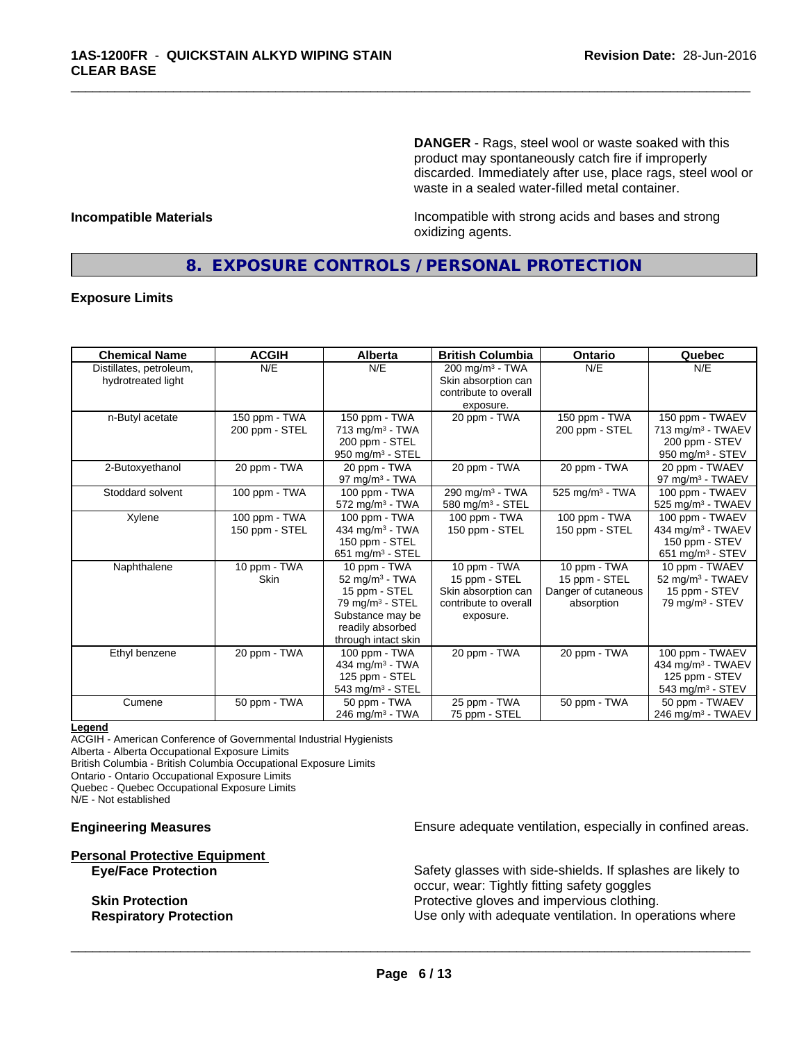**DANGER** - Rags, steel wool or waste soaked with this product may spontaneously catch fire if improperly discarded. Immediately after use, place rags, steel wool or waste in a sealed water-filled metal container.

**Incompatible Materials Incompatible with strong acids and bases and strong** oxidizing agents.

### **8. EXPOSURE CONTROLS / PERSONAL PROTECTION**

\_\_\_\_\_\_\_\_\_\_\_\_\_\_\_\_\_\_\_\_\_\_\_\_\_\_\_\_\_\_\_\_\_\_\_\_\_\_\_\_\_\_\_\_\_\_\_\_\_\_\_\_\_\_\_\_\_\_\_\_\_\_\_\_\_\_\_\_\_\_\_\_\_\_\_\_\_\_\_\_\_\_\_\_\_\_\_\_\_\_\_\_\_

#### **Exposure Limits**

| <b>Chemical Name</b>    | <b>ACGIH</b>   | Alberta                       | <b>British Columbia</b>       | <b>Ontario</b>              | Quebec                         |
|-------------------------|----------------|-------------------------------|-------------------------------|-----------------------------|--------------------------------|
| Distillates, petroleum, | N/E            | N/E                           | $200$ mg/m <sup>3</sup> - TWA | N/E                         | N/E                            |
| hydrotreated light      |                |                               | Skin absorption can           |                             |                                |
|                         |                |                               | contribute to overall         |                             |                                |
|                         |                |                               | exposure.                     |                             |                                |
| n-Butyl acetate         | 150 ppm - TWA  | 150 ppm - TWA                 | 20 ppm - TWA                  | 150 ppm - TWA               | 150 ppm - TWAEV                |
|                         | 200 ppm - STEL | 713 mg/m <sup>3</sup> - TWA   |                               | 200 ppm - STEL              | 713 mg/m <sup>3</sup> - TWAEV  |
|                         |                | 200 ppm - STEL                |                               |                             | 200 ppm - STEV                 |
|                         |                | 950 mg/m <sup>3</sup> - STEL  |                               |                             | 950 mg/m <sup>3</sup> - STEV   |
| 2-Butoxyethanol         | 20 ppm - TWA   | 20 ppm - TWA                  | 20 ppm - TWA                  | 20 ppm - TWA                | 20 ppm - TWAEV                 |
|                         |                | 97 mg/m $3$ - TWA             |                               |                             | 97 mg/m <sup>3</sup> - TWAEV   |
| Stoddard solvent        | 100 ppm - TWA  | 100 ppm - TWA                 | 290 mg/m <sup>3</sup> - TWA   | 525 mg/m <sup>3</sup> - TWA | 100 ppm - TWAEV                |
|                         |                | $572$ mg/m <sup>3</sup> - TWA | 580 mg/m <sup>3</sup> - STEL  |                             | 525 mg/m <sup>3</sup> - TWAEV  |
| Xylene                  | 100 ppm - TWA  | 100 ppm - TWA                 | 100 ppm - TWA                 | 100 ppm - TWA               | 100 ppm - TWAEV                |
|                         | 150 ppm - STEL | 434 mg/m $3$ - TWA            | 150 ppm - STEL                | 150 ppm - STEL              | 434 mg/m <sup>3</sup> - TWAEV  |
|                         |                | 150 ppm - STEL                |                               |                             | 150 ppm - STEV                 |
|                         |                | 651 mg/m $3 -$ STEL           |                               |                             | $651$ mg/m <sup>3</sup> - STEV |
| Naphthalene             | 10 ppm - $TWA$ | 10 ppm - TWA                  | 10 ppm $-$ TWA                | 10 ppm - TWA                | 10 ppm - TWAEV                 |
|                         | <b>Skin</b>    | 52 mg/m $3$ - TWA             | 15 ppm - STEL                 | 15 ppm - STEL               | 52 mg/m <sup>3</sup> - TWAEV   |
|                         |                | 15 ppm - STEL                 | Skin absorption can           | Danger of cutaneous         | 15 ppm - STEV                  |
|                         |                | 79 mg/m <sup>3</sup> - STEL   | contribute to overall         | absorption                  | $79$ mg/m <sup>3</sup> - STEV  |
|                         |                | Substance may be              | exposure.                     |                             |                                |
|                         |                | readily absorbed              |                               |                             |                                |
|                         |                | through intact skin           |                               |                             |                                |
| Ethyl benzene           | 20 ppm - TWA   | 100 ppm - TWA                 | 20 ppm - TWA                  | 20 ppm - TWA                | 100 ppm - TWAEV                |
|                         |                | 434 mg/m <sup>3</sup> - TWA   |                               |                             | 434 mg/m <sup>3</sup> - TWAEV  |
|                         |                | 125 ppm - STEL                |                               |                             | 125 ppm - STEV                 |
|                         |                | 543 mg/m $3 -$ STEL           |                               |                             | 543 mg/m <sup>3</sup> - STEV   |
| Cumene                  | 50 ppm - TWA   | 50 ppm - TWA                  | 25 ppm - TWA                  | 50 ppm - TWA                | 50 ppm - TWAEV                 |
|                         |                | 246 mg/m <sup>3</sup> - TWA   | 75 ppm - STEL                 |                             | 246 mg/m <sup>3</sup> - TWAEV  |

#### **Legend**

ACGIH - American Conference of Governmental Industrial Hygienists Alberta - Alberta Occupational Exposure Limits

British Columbia - British Columbia Occupational Exposure Limits Ontario - Ontario Occupational Exposure Limits

Quebec - Quebec Occupational Exposure Limits

N/E - Not established

# **Personal Protective Equipment**

**Engineering Measures Ensure adequate ventilation, especially in confined areas.** 

Safety glasses with side-shields. If splashes are likely to occur, wear: Tightly fitting safety goggles **Skin Protection Protection Protective gloves and impervious clothing. Respiratory Protection Exercise 2018** Use only with adequate ventilation. In operations where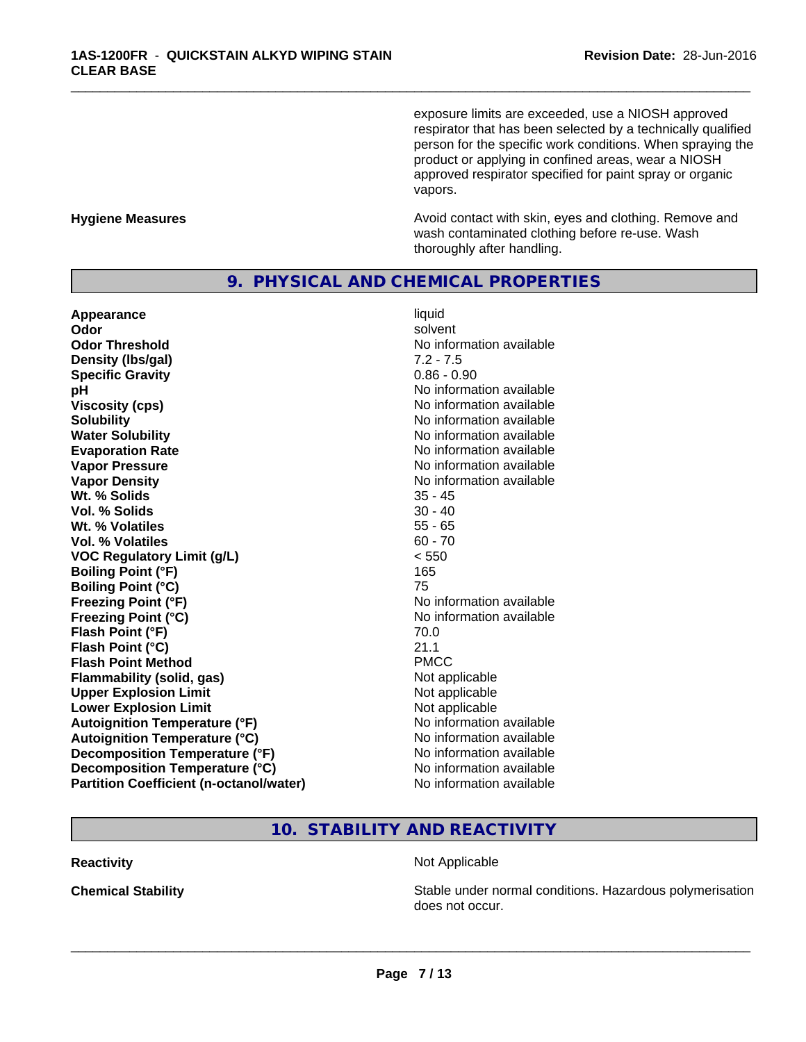exposure limits are exceeded, use a NIOSH approved respirator that has been selected by a technically qualified person for the specific work conditions. When spraying the product or applying in confined areas, wear a NIOSH approved respirator specified for paint spray or organic vapors.

**Hygiene Measures Avoid contact with skin, eyes and clothing. Remove and Avoid contact with skin, eyes and clothing. Remove and Avoid contact with skin, eyes and clothing. Remove and** wash contaminated clothing before re-use. Wash thoroughly after handling.

#### **9. PHYSICAL AND CHEMICAL PROPERTIES**

**Appearance** liquid and **a liquid liquid liquid** and **a liquid liquid** solvent **Odor** solvent **Odor Threshold No information available Density (Ibs/gal)** 7.2 - 7.5<br> **Specific Gravity** 3.1 2.2 - 7.5 **Specific Gravity pH** No information available **Viscosity (cps)** No information available **Solubility**<br> **No** information available<br> **Water Solubility**<br> **No** information available **Evaporation Rate Evaporation Rate No information available Vapor Pressure** No information available **Vapor Density No information available No information available Wt.** % Solids 35 - 45 **Vol. % Solids** 30 - 40 **Wt. % Volatiles** 55 - 65 **Vol. % Volatiles** 60 - 70 **VOC Regulatory Limit (g/L)** < 550 **Boiling Point (°F)** 165 **Boiling Point (°C)** 75 **Freezing Point (°F)**<br> **Freezing Point (°C)**<br> **Freezing Point (°C)**<br> **Reezing Point (°C)**<br> **Reezing Point (°C) Flash Point (°F)** 70.0 **Flash Point (°C)** 21.1 **Flash Point Method** PMCC **Flammability (solid, gas)** Not applicable **Upper Explosion Limit** Not applicable **Lower Explosion Limit Contract Accord Accord Accord Accord Accord Accord Accord Accord Accord Accord Accord Accord Accord Accord Accord Accord Accord Accord Accord Accord Accord Accord Accord Accord Accord Accord Accord Autoignition Temperature (°F)**<br> **Autoignition Temperature (°C)** No information available **Autoignition Temperature (°C) Decomposition Temperature (°F)** No information available **Decomposition Temperature (°C)** No information available **Partition Coefficient (n-octanol/water)** No information available

**No information available Freezing Point (°C)** No information available

\_\_\_\_\_\_\_\_\_\_\_\_\_\_\_\_\_\_\_\_\_\_\_\_\_\_\_\_\_\_\_\_\_\_\_\_\_\_\_\_\_\_\_\_\_\_\_\_\_\_\_\_\_\_\_\_\_\_\_\_\_\_\_\_\_\_\_\_\_\_\_\_\_\_\_\_\_\_\_\_\_\_\_\_\_\_\_\_\_\_\_\_\_

### **10. STABILITY AND REACTIVITY**

#### **Reactivity Not Applicable Not Applicable**

 $\overline{\phantom{a}}$  ,  $\overline{\phantom{a}}$  ,  $\overline{\phantom{a}}$  ,  $\overline{\phantom{a}}$  ,  $\overline{\phantom{a}}$  ,  $\overline{\phantom{a}}$  ,  $\overline{\phantom{a}}$  ,  $\overline{\phantom{a}}$  ,  $\overline{\phantom{a}}$  ,  $\overline{\phantom{a}}$  ,  $\overline{\phantom{a}}$  ,  $\overline{\phantom{a}}$  ,  $\overline{\phantom{a}}$  ,  $\overline{\phantom{a}}$  ,  $\overline{\phantom{a}}$  ,  $\overline{\phantom{a}}$ 

**Chemical Stability Stability** Stable under normal conditions. Hazardous polymerisation does not occur.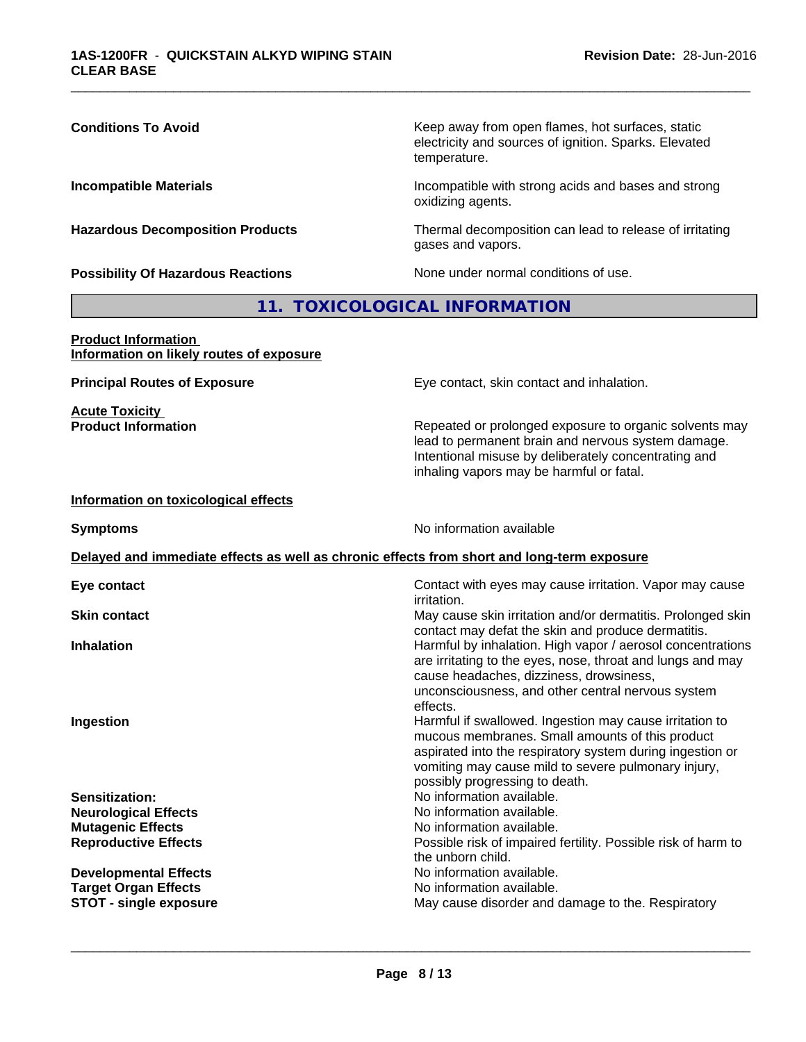| <b>Conditions To Avoid</b>                                                                 | Keep away from open flames, hot surfaces, static<br>electricity and sources of ignition. Sparks. Elevated<br>temperature.<br>Incompatible with strong acids and bases and strong<br>oxidizing agents.                                                            |  |
|--------------------------------------------------------------------------------------------|------------------------------------------------------------------------------------------------------------------------------------------------------------------------------------------------------------------------------------------------------------------|--|
| <b>Incompatible Materials</b>                                                              |                                                                                                                                                                                                                                                                  |  |
| <b>Hazardous Decomposition Products</b>                                                    | Thermal decomposition can lead to release of irritating<br>gases and vapors.                                                                                                                                                                                     |  |
| <b>Possibility Of Hazardous Reactions</b>                                                  | None under normal conditions of use.                                                                                                                                                                                                                             |  |
|                                                                                            | 11. TOXICOLOGICAL INFORMATION                                                                                                                                                                                                                                    |  |
| <b>Product Information</b><br>Information on likely routes of exposure                     |                                                                                                                                                                                                                                                                  |  |
| <b>Principal Routes of Exposure</b>                                                        | Eye contact, skin contact and inhalation.                                                                                                                                                                                                                        |  |
| <b>Acute Toxicity</b><br><b>Product Information</b>                                        | Repeated or prolonged exposure to organic solvents may<br>lead to permanent brain and nervous system damage.<br>Intentional misuse by deliberately concentrating and<br>inhaling vapors may be harmful or fatal.                                                 |  |
| Information on toxicological effects                                                       |                                                                                                                                                                                                                                                                  |  |
| <b>Symptoms</b>                                                                            | No information available                                                                                                                                                                                                                                         |  |
| Delayed and immediate effects as well as chronic effects from short and long-term exposure |                                                                                                                                                                                                                                                                  |  |
| Eye contact                                                                                | Contact with eyes may cause irritation. Vapor may cause<br>irritation.                                                                                                                                                                                           |  |
| <b>Skin contact</b>                                                                        | May cause skin irritation and/or dermatitis. Prolonged skin<br>contact may defat the skin and produce dermatitis.                                                                                                                                                |  |
| <b>Inhalation</b>                                                                          | Harmful by inhalation. High vapor / aerosol concentrations<br>are irritating to the eyes, nose, throat and lungs and may<br>cause headaches, dizziness, drowsiness,<br>unconsciousness, and other central nervous system<br>effects.                             |  |
| Ingestion                                                                                  | Harmful if swallowed. Ingestion may cause irritation to<br>mucous membranes. Small amounts of this product<br>aspirated into the respiratory system during ingestion or<br>vomiting may cause mild to severe pulmonary injury,<br>possibly progressing to death. |  |
| Sensitization:                                                                             | No information available.                                                                                                                                                                                                                                        |  |
| <b>Neurological Effects</b>                                                                | No information available.                                                                                                                                                                                                                                        |  |
| <b>Mutagenic Effects</b><br><b>Reproductive Effects</b>                                    | No information available.<br>Possible risk of impaired fertility. Possible risk of harm to                                                                                                                                                                       |  |
|                                                                                            | the unborn child.                                                                                                                                                                                                                                                |  |
| <b>Developmental Effects</b>                                                               | No information available.                                                                                                                                                                                                                                        |  |
| <b>Target Organ Effects</b><br><b>STOT - single exposure</b>                               | No information available.<br>May cause disorder and damage to the. Respiratory                                                                                                                                                                                   |  |
|                                                                                            |                                                                                                                                                                                                                                                                  |  |
|                                                                                            |                                                                                                                                                                                                                                                                  |  |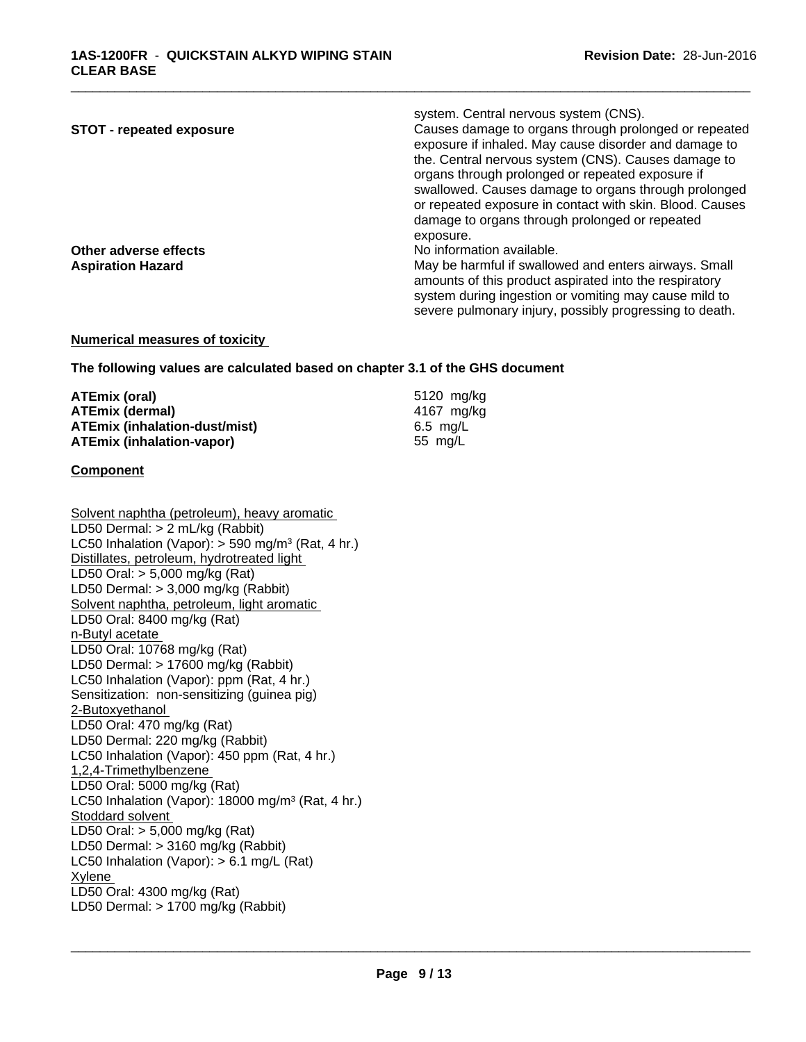| <b>STOT - repeated exposure</b> | system. Central nervous system (CNS).<br>Causes damage to organs through prolonged or repeated<br>exposure if inhaled. May cause disorder and damage to |
|---------------------------------|---------------------------------------------------------------------------------------------------------------------------------------------------------|
|                                 | the. Central nervous system (CNS). Causes damage to<br>organs through prolonged or repeated exposure if                                                 |
|                                 | swallowed. Causes damage to organs through prolonged<br>or repeated exposure in contact with skin. Blood. Causes                                        |
|                                 | damage to organs through prolonged or repeated                                                                                                          |
|                                 | exposure.                                                                                                                                               |
| Other adverse effects           | No information available.                                                                                                                               |
| <b>Aspiration Hazard</b>        | May be harmful if swallowed and enters airways. Small                                                                                                   |
|                                 | amounts of this product aspirated into the respiratory                                                                                                  |
|                                 | system during ingestion or vomiting may cause mild to                                                                                                   |
|                                 | severe pulmonary injury, possibly progressing to death.                                                                                                 |

#### **Numerical measures of toxicity**

**The following values are calculated based on chapter 3.1 of the GHS document**

| ATEmix (oral)                        | 5120 mg/kg |  |
|--------------------------------------|------------|--|
| ATEmix (dermal)                      | 4167 mg/kg |  |
| <b>ATEmix (inhalation-dust/mist)</b> | 6.5 mg/L   |  |
| <b>ATEmix (inhalation-vapor)</b>     | 55 mg/L    |  |

#### **Component**

Solvent naphtha (petroleum), heavy aromatic LD50 Dermal: > 2 mL/kg (Rabbit) LC50 Inhalation (Vapor): > 590 mg/m<sup>3</sup> (Rat, 4 hr.) Distillates, petroleum, hydrotreated light LD50 Oral: > 5,000 mg/kg (Rat) LD50 Dermal: > 3,000 mg/kg (Rabbit) Solvent naphtha, petroleum, light aromatic LD50 Oral: 8400 mg/kg (Rat) n-Butyl acetate LD50 Oral: 10768 mg/kg (Rat) LD50 Dermal: > 17600 mg/kg (Rabbit) LC50 Inhalation (Vapor): ppm (Rat, 4 hr.) Sensitization: non-sensitizing (guinea pig) 2-Butoxyethanol LD50 Oral: 470 mg/kg (Rat) LD50 Dermal: 220 mg/kg (Rabbit) LC50 Inhalation (Vapor): 450 ppm (Rat, 4 hr.) 1,2,4-Trimethylbenzene LD50 Oral: 5000 mg/kg (Rat) LC50 Inhalation (Vapor): 18000 mg/m<sup>3</sup> (Rat, 4 hr.) Stoddard solvent LD50 Oral: > 5,000 mg/kg (Rat) LD50 Dermal: > 3160 mg/kg (Rabbit) LC50 Inhalation (Vapor): > 6.1 mg/L (Rat) Xylene LD50 Oral: 4300 mg/kg (Rat) LD50 Dermal: > 1700 mg/kg (Rabbit)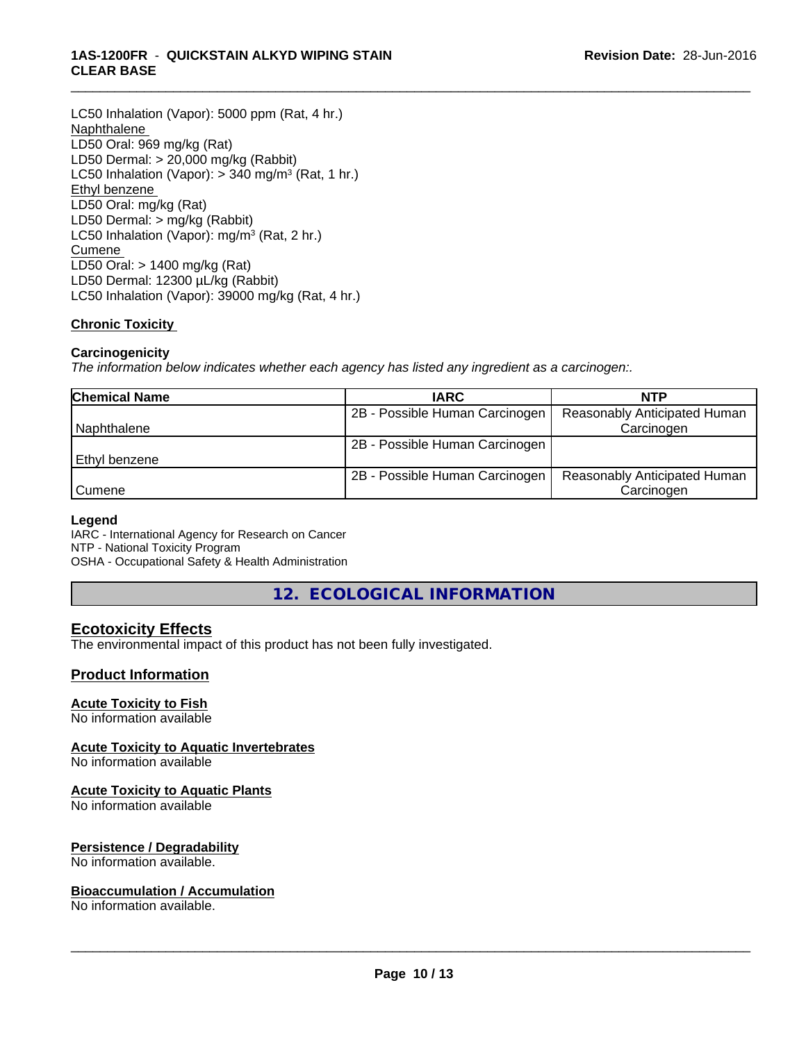#### **1AS-1200FR** - **QUICKSTAIN ALKYD WIPING STAIN CLEAR BASE**

LC50 Inhalation (Vapor): 5000 ppm (Rat, 4 hr.) Naphthalene LD50 Oral: 969 mg/kg (Rat) LD50 Dermal: > 20,000 mg/kg (Rabbit) LC50 Inhalation (Vapor): > 340 mg/m<sup>3</sup> (Rat, 1 hr.) Ethyl benzene LD50 Oral: mg/kg (Rat) LD50 Dermal: > mg/kg (Rabbit) LC50 Inhalation (Vapor): mg/m<sup>3</sup> (Rat, 2 hr.) Cumene LD50 Oral: > 1400 mg/kg (Rat) LD50 Dermal: 12300 µL/kg (Rabbit) LC50 Inhalation (Vapor): 39000 mg/kg (Rat, 4 hr.)

#### **Chronic Toxicity**

#### **Carcinogenicity**

*The information below indicateswhether each agency has listed any ingredient as a carcinogen:.*

| <b>Chemical Name</b> | <b>IARC</b>                    | <b>NTP</b>                          |
|----------------------|--------------------------------|-------------------------------------|
|                      | 2B - Possible Human Carcinogen | Reasonably Anticipated Human        |
| Naphthalene          |                                | Carcinogen                          |
|                      | 2B - Possible Human Carcinogen |                                     |
| l Ethvl benzene      |                                |                                     |
|                      | 2B - Possible Human Carcinogen | <b>Reasonably Anticipated Human</b> |
| <b>Cumene</b>        |                                | Carcinogen                          |

\_\_\_\_\_\_\_\_\_\_\_\_\_\_\_\_\_\_\_\_\_\_\_\_\_\_\_\_\_\_\_\_\_\_\_\_\_\_\_\_\_\_\_\_\_\_\_\_\_\_\_\_\_\_\_\_\_\_\_\_\_\_\_\_\_\_\_\_\_\_\_\_\_\_\_\_\_\_\_\_\_\_\_\_\_\_\_\_\_\_\_\_\_

#### **Legend**

IARC - International Agency for Research on Cancer NTP - National Toxicity Program OSHA - Occupational Safety & Health Administration

**12. ECOLOGICAL INFORMATION**

### **Ecotoxicity Effects**

The environmental impact of this product has not been fully investigated.

#### **Product Information**

#### **Acute Toxicity to Fish**

No information available

#### **Acute Toxicity to Aquatic Invertebrates**

No information available

#### **Acute Toxicity to Aquatic Plants**

No information available

#### **Persistence / Degradability**

No information available.

#### **Bioaccumulation / Accumulation**

No information available.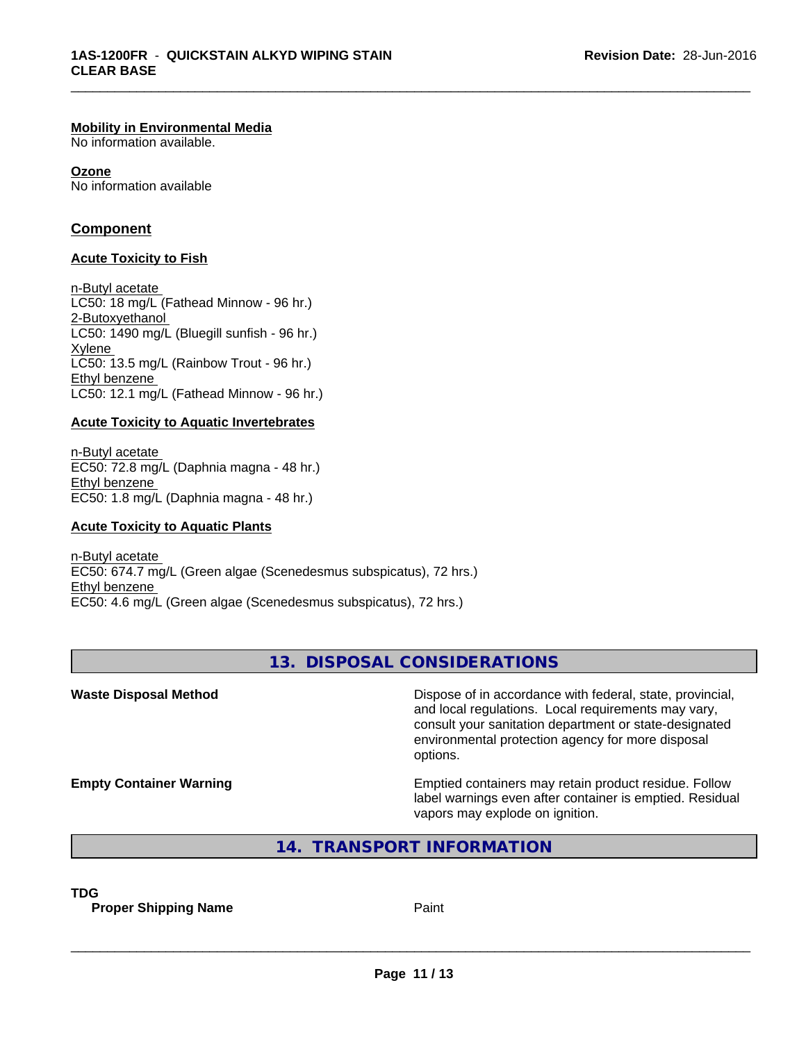#### **Mobility in Environmental Media**

No information available.

**Ozone** No information available

#### **Component**

#### **Acute Toxicity to Fish**

n-Butyl acetate LC50: 18 mg/L (Fathead Minnow - 96 hr.) 2-Butoxyethanol LC50: 1490 mg/L (Bluegill sunfish - 96 hr.) Xylene LC50: 13.5 mg/L (Rainbow Trout - 96 hr.) Ethyl benzene LC50: 12.1 mg/L (Fathead Minnow - 96 hr.)

#### **Acute Toxicity to Aquatic Invertebrates**

n-Butyl acetate EC50: 72.8 mg/L (Daphnia magna - 48 hr.) Ethyl benzene EC50: 1.8 mg/L (Daphnia magna - 48 hr.)

#### **Acute Toxicity to Aquatic Plants**

n-Butyl acetate EC50: 674.7 mg/L (Green algae (Scenedesmus subspicatus), 72 hrs.) Ethyl benzene EC50: 4.6 mg/L (Green algae (Scenedesmus subspicatus), 72 hrs.)

### **13. DISPOSAL CONSIDERATIONS**

\_\_\_\_\_\_\_\_\_\_\_\_\_\_\_\_\_\_\_\_\_\_\_\_\_\_\_\_\_\_\_\_\_\_\_\_\_\_\_\_\_\_\_\_\_\_\_\_\_\_\_\_\_\_\_\_\_\_\_\_\_\_\_\_\_\_\_\_\_\_\_\_\_\_\_\_\_\_\_\_\_\_\_\_\_\_\_\_\_\_\_\_\_

**Waste Disposal Method Dispose of in accordance with federal, state, provincial,** and local regulations. Local requirements may vary, consult your sanitation department or state-designated environmental protection agency for more disposal options. **Empty Container Warning <b>Emptied** Containers may retain product residue. Follow label warnings even after container is emptied. Residual vapors may explode on ignition. **14. TRANSPORT INFORMATION**

**TDG**

**Proper Shipping Name Paint**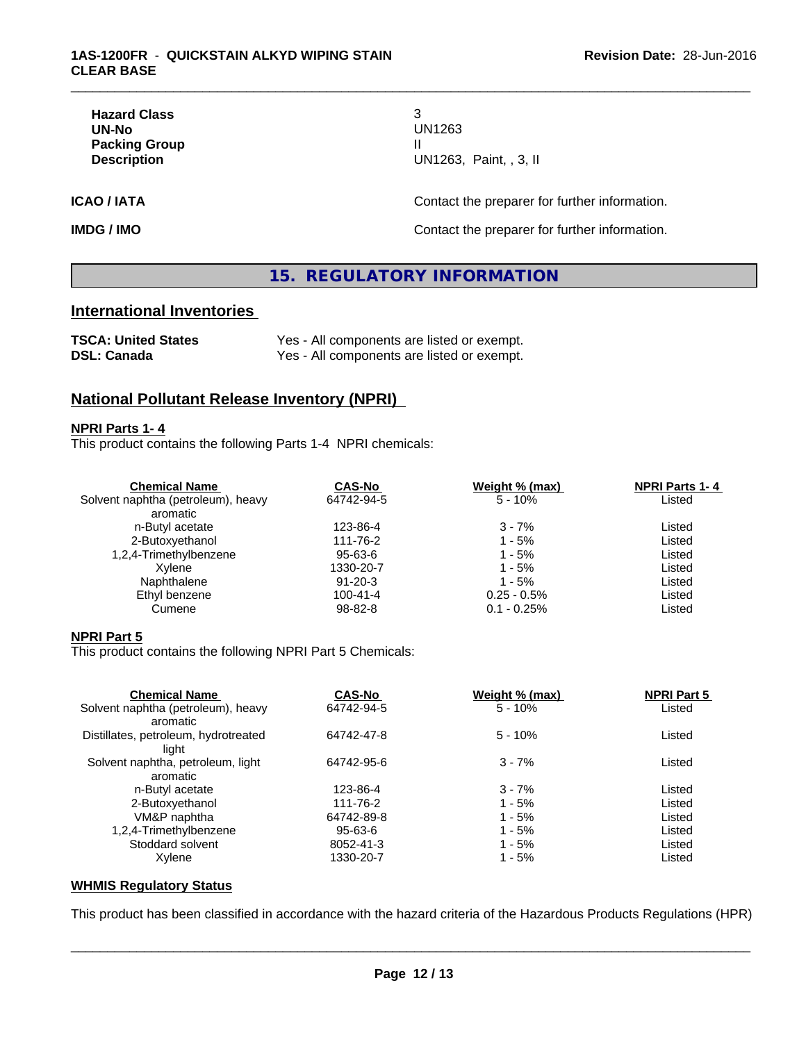| <b>Hazard Class</b> |             |
|---------------------|-------------|
| UN-No               | UN1263      |
| Packing Group       |             |
| <b>Description</b>  | UN1263, Pai |

**Hazard Class** 3 **UN-No** UN1263 **Description** UN1263, Paint, , 3, II

\_\_\_\_\_\_\_\_\_\_\_\_\_\_\_\_\_\_\_\_\_\_\_\_\_\_\_\_\_\_\_\_\_\_\_\_\_\_\_\_\_\_\_\_\_\_\_\_\_\_\_\_\_\_\_\_\_\_\_\_\_\_\_\_\_\_\_\_\_\_\_\_\_\_\_\_\_\_\_\_\_\_\_\_\_\_\_\_\_\_\_\_\_

**ICAO / IATA ICAO / IATA CONSERVING CONTACT CONTACT OF THE PROPERTY OF THE PROPERTY OF ITS AND THE PROPERTY OF ITS AND THE PROPERTY OF ITS AND THE PROPERTY OF ITS AND THE PROPERTY OF ITS AND THE PROPERTY OF ITS AND THE** 

**IMDG / IMO Contact the preparer for further information.** 

### **15. REGULATORY INFORMATION**

#### **International Inventories**

| <b>TSCA: United States</b> | Yes - All components are listed or exempt. |
|----------------------------|--------------------------------------------|
| DSL: Canada                | Yes - All components are listed or exempt. |

#### **National Pollutant Release Inventory (NPRI)**

#### **NPRI Parts 1- 4**

This product contains the following Parts 1-4 NPRI chemicals:

| <b>Chemical Name</b>               | <b>CAS-No</b>  | Weight % (max) | <b>NPRI Parts 1-4</b> |  |
|------------------------------------|----------------|----------------|-----------------------|--|
| Solvent naphtha (petroleum), heavy | 64742-94-5     | $5 - 10%$      | Listed                |  |
| aromatic                           |                |                |                       |  |
| n-Butyl acetate                    | 123-86-4       | $3 - 7%$       | Listed                |  |
| 2-Butoxyethanol                    | 111-76-2       | $1 - 5%$       | Listed                |  |
| 1,2,4-Trimethylbenzene             | 95-63-6        | 1 - 5%         | Listed                |  |
| Xvlene                             | 1330-20-7      | 1 - 5%         | Listed                |  |
| Naphthalene                        | $91 - 20 - 3$  | 1 - 5%         | Listed                |  |
| Ethyl benzene                      | $100 - 41 - 4$ | $0.25 - 0.5\%$ | Listed                |  |
| Cumene                             | 98-82-8        | $0.1 - 0.25%$  | Listed                |  |

#### **NPRI Part 5**

This product contains the following NPRI Part 5 Chemicals:

| <b>Chemical Name</b>                           | <b>CAS-No</b> | Weight % (max) | <b>NPRI Part 5</b> |  |
|------------------------------------------------|---------------|----------------|--------------------|--|
| Solvent naphtha (petroleum), heavy<br>aromatic | 64742-94-5    | $5 - 10%$      | Listed             |  |
| Distillates, petroleum, hydrotreated<br>liaht  | 64742-47-8    | $5 - 10%$      | Listed             |  |
| Solvent naphtha, petroleum, light              | 64742-95-6    | $3 - 7%$       | Listed             |  |
| aromatic                                       |               |                |                    |  |
| n-Butyl acetate                                | 123-86-4      | $3 - 7%$       | Listed             |  |
| 2-Butoxyethanol                                | 111-76-2      | $1 - 5%$       | Listed             |  |
| VM&P naphtha                                   | 64742-89-8    | 1 - 5%         | Listed             |  |
| 1,2,4-Trimethylbenzene                         | 95-63-6       | $1 - 5%$       | Listed             |  |
| Stoddard solvent                               | 8052-41-3     | 1 - 5%         | Listed             |  |
| Xylene                                         | 1330-20-7     | 1 - 5%         | Listed             |  |

#### **WHMIS Regulatory Status**

This product has been classified in accordance with the hazard criteria of the Hazardous Products Regulations (HPR)